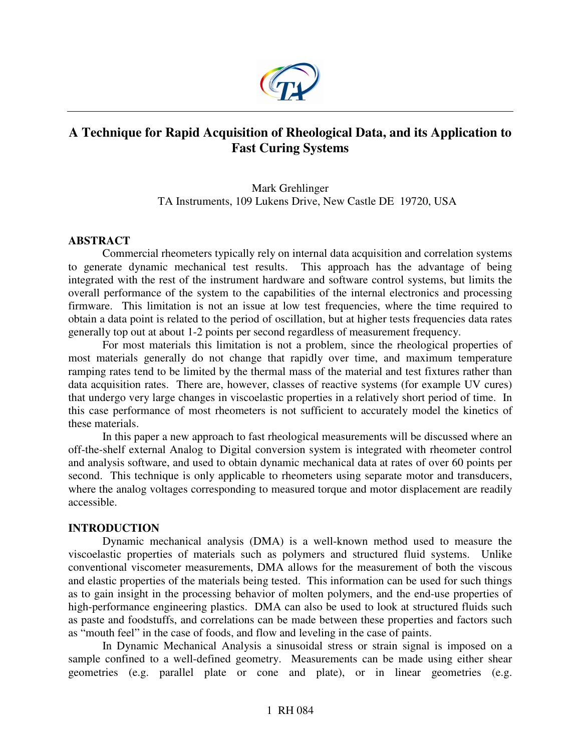

# **A Technique for Rapid Acquisition of Rheological Data, and its Application to Fast Curing Systems**

# Mark Grehlinger TA Instruments, 109 Lukens Drive, New Castle DE 19720, USA

# **ABSTRACT**

Commercial rheometers typically rely on internal data acquisition and correlation systems to generate dynamic mechanical test results. This approach has the advantage of being integrated with the rest of the instrument hardware and software control systems, but limits the overall performance of the system to the capabilities of the internal electronics and processing firmware. This limitation is not an issue at low test frequencies, where the time required to obtain a data point is related to the period of oscillation, but at higher tests frequencies data rates generally top out at about 1-2 points per second regardless of measurement frequency.

For most materials this limitation is not a problem, since the rheological properties of most materials generally do not change that rapidly over time, and maximum temperature ramping rates tend to be limited by the thermal mass of the material and test fixtures rather than data acquisition rates. There are, however, classes of reactive systems (for example UV cures) that undergo very large changes in viscoelastic properties in a relatively short period of time. In this case performance of most rheometers is not sufficient to accurately model the kinetics of these materials.

In this paper a new approach to fast rheological measurements will be discussed where an off-the-shelf external Analog to Digital conversion system is integrated with rheometer control and analysis software, and used to obtain dynamic mechanical data at rates of over 60 points per second. This technique is only applicable to rheometers using separate motor and transducers, where the analog voltages corresponding to measured torque and motor displacement are readily accessible.

# **INTRODUCTION**

Dynamic mechanical analysis (DMA) is a well-known method used to measure the viscoelastic properties of materials such as polymers and structured fluid systems. Unlike conventional viscometer measurements, DMA allows for the measurement of both the viscous and elastic properties of the materials being tested. This information can be used for such things as to gain insight in the processing behavior of molten polymers, and the end-use properties of high-performance engineering plastics. DMA can also be used to look at structured fluids such as paste and foodstuffs, and correlations can be made between these properties and factors such as "mouth feel" in the case of foods, and flow and leveling in the case of paints.

In Dynamic Mechanical Analysis a sinusoidal stress or strain signal is imposed on a sample confined to a well-defined geometry. Measurements can be made using either shear geometries (e.g. parallel plate or cone and plate), or in linear geometries (e.g.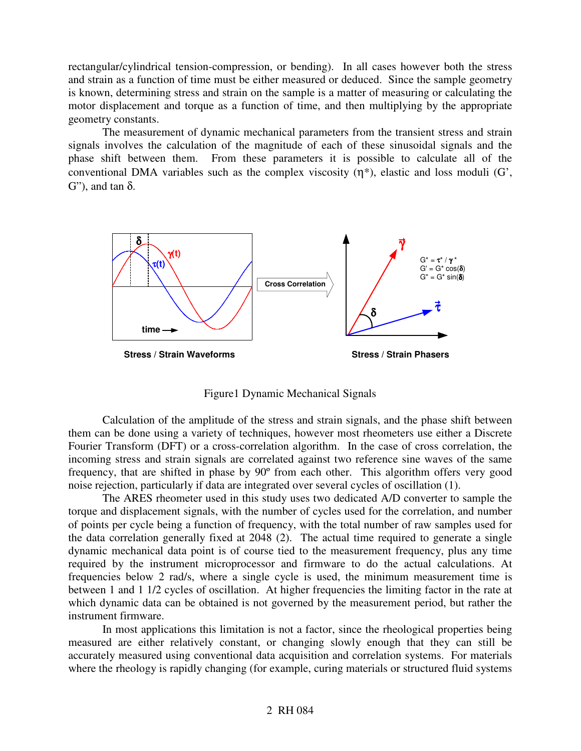rectangular/cylindrical tension-compression, or bending). In all cases however both the stress and strain as a function of time must be either measured or deduced. Since the sample geometry is known, determining stress and strain on the sample is a matter of measuring or calculating the motor displacement and torque as a function of time, and then multiplying by the appropriate geometry constants.

The measurement of dynamic mechanical parameters from the transient stress and strain signals involves the calculation of the magnitude of each of these sinusoidal signals and the phase shift between them. From these parameters it is possible to calculate all of the conventional DMA variables such as the complex viscosity  $(\eta^*)$ , elastic and loss moduli  $(G)$ ,  $G''$ ), and tan  $\delta$ .



Figure1 Dynamic Mechanical Signals

Calculation of the amplitude of the stress and strain signals, and the phase shift between them can be done using a variety of techniques, however most rheometers use either a Discrete Fourier Transform (DFT) or a cross-correlation algorithm. In the case of cross correlation, the incoming stress and strain signals are correlated against two reference sine waves of the same frequency, that are shifted in phase by 90º from each other. This algorithm offers very good noise rejection, particularly if data are integrated over several cycles of oscillation (1).

The ARES rheometer used in this study uses two dedicated A/D converter to sample the torque and displacement signals, with the number of cycles used for the correlation, and number of points per cycle being a function of frequency, with the total number of raw samples used for the data correlation generally fixed at 2048 (2). The actual time required to generate a single dynamic mechanical data point is of course tied to the measurement frequency, plus any time required by the instrument microprocessor and firmware to do the actual calculations. At frequencies below 2 rad/s, where a single cycle is used, the minimum measurement time is between 1 and 1 1/2 cycles of oscillation. At higher frequencies the limiting factor in the rate at which dynamic data can be obtained is not governed by the measurement period, but rather the instrument firmware.

In most applications this limitation is not a factor, since the rheological properties being measured are either relatively constant, or changing slowly enough that they can still be accurately measured using conventional data acquisition and correlation systems. For materials where the rheology is rapidly changing (for example, curing materials or structured fluid systems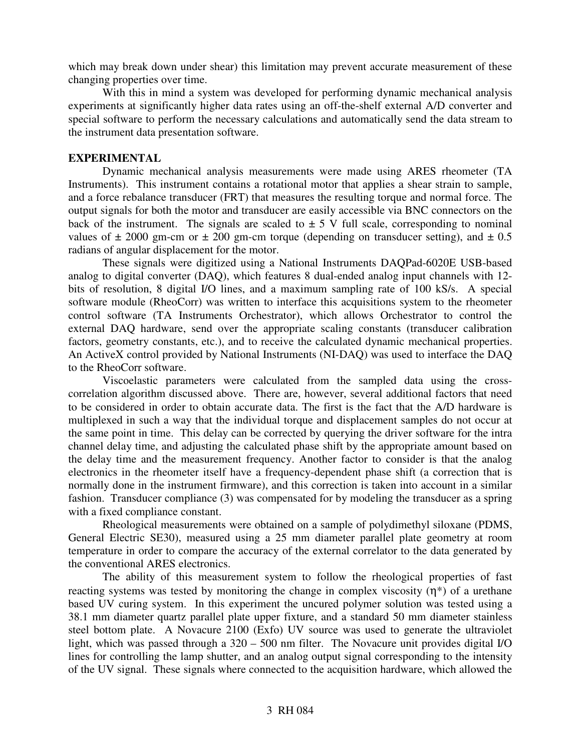which may break down under shear) this limitation may prevent accurate measurement of these changing properties over time.

With this in mind a system was developed for performing dynamic mechanical analysis experiments at significantly higher data rates using an off-the-shelf external A/D converter and special software to perform the necessary calculations and automatically send the data stream to the instrument data presentation software.

## **EXPERIMENTAL**

Dynamic mechanical analysis measurements were made using ARES rheometer (TA Instruments). This instrument contains a rotational motor that applies a shear strain to sample, and a force rebalance transducer (FRT) that measures the resulting torque and normal force. The output signals for both the motor and transducer are easily accessible via BNC connectors on the back of the instrument. The signals are scaled to  $\pm$  5 V full scale, corresponding to nominal values of  $\pm$  2000 gm-cm or  $\pm$  200 gm-cm torque (depending on transducer setting), and  $\pm$  0.5 radians of angular displacement for the motor.

These signals were digitized using a National Instruments DAQPad-6020E USB-based analog to digital converter (DAQ), which features 8 dual-ended analog input channels with 12 bits of resolution, 8 digital I/O lines, and a maximum sampling rate of 100 kS/s. A special software module (RheoCorr) was written to interface this acquisitions system to the rheometer control software (TA Instruments Orchestrator), which allows Orchestrator to control the external DAQ hardware, send over the appropriate scaling constants (transducer calibration factors, geometry constants, etc.), and to receive the calculated dynamic mechanical properties. An ActiveX control provided by National Instruments (NI-DAQ) was used to interface the DAQ to the RheoCorr software.

Viscoelastic parameters were calculated from the sampled data using the crosscorrelation algorithm discussed above. There are, however, several additional factors that need to be considered in order to obtain accurate data. The first is the fact that the A/D hardware is multiplexed in such a way that the individual torque and displacement samples do not occur at the same point in time. This delay can be corrected by querying the driver software for the intra channel delay time, and adjusting the calculated phase shift by the appropriate amount based on the delay time and the measurement frequency. Another factor to consider is that the analog electronics in the rheometer itself have a frequency-dependent phase shift (a correction that is normally done in the instrument firmware), and this correction is taken into account in a similar fashion. Transducer compliance (3) was compensated for by modeling the transducer as a spring with a fixed compliance constant.

Rheological measurements were obtained on a sample of polydimethyl siloxane (PDMS, General Electric SE30), measured using a 25 mm diameter parallel plate geometry at room temperature in order to compare the accuracy of the external correlator to the data generated by the conventional ARES electronics.

The ability of this measurement system to follow the rheological properties of fast reacting systems was tested by monitoring the change in complex viscosity  $(\eta^*)$  of a urethane based UV curing system. In this experiment the uncured polymer solution was tested using a 38.1 mm diameter quartz parallel plate upper fixture, and a standard 50 mm diameter stainless steel bottom plate. A Novacure 2100 (Exfo) UV source was used to generate the ultraviolet light, which was passed through a 320 – 500 nm filter. The Novacure unit provides digital I/O lines for controlling the lamp shutter, and an analog output signal corresponding to the intensity of the UV signal. These signals where connected to the acquisition hardware, which allowed the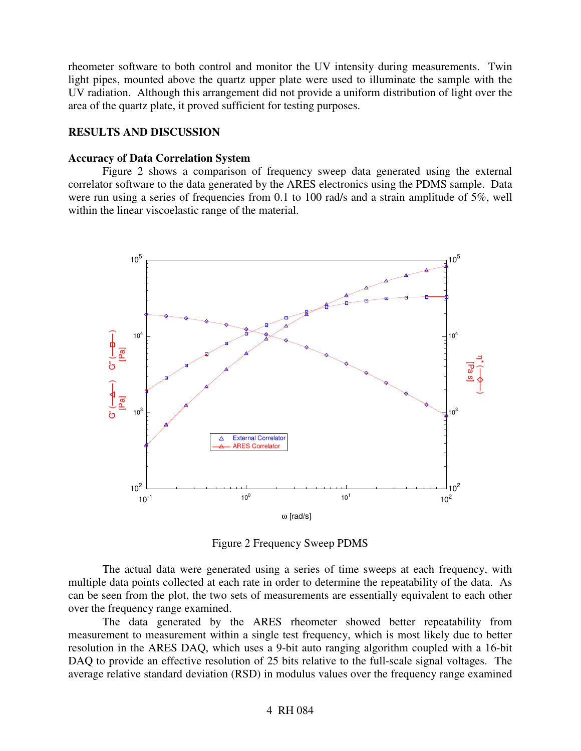rheometer software to both control and monitor the UV intensity during measurements. Twin light pipes, mounted above the quartz upper plate were used to illuminate the sample with the UV radiation. Although this arrangement did not provide a uniform distribution of light over the area of the quartz plate, it proved sufficient for testing purposes.

## **RESULTS AND DISCUSSION**

#### **Accuracy of Data Correlation System**

Figure 2 shows a comparison of frequency sweep data generated using the external correlator software to the data generated by the ARES electronics using the PDMS sample. Data were run using a series of frequencies from 0.1 to 100 rad/s and a strain amplitude of 5%, well within the linear viscoelastic range of the material.



Figure 2 Frequency Sweep PDMS

The actual data were generated using a series of time sweeps at each frequency, with multiple data points collected at each rate in order to determine the repeatability of the data. As can be seen from the plot, the two sets of measurements are essentially equivalent to each other over the frequency range examined.

The data generated by the ARES rheometer showed better repeatability from measurement to measurement within a single test frequency, which is most likely due to better resolution in the ARES DAQ, which uses a 9-bit auto ranging algorithm coupled with a 16-bit DAQ to provide an effective resolution of 25 bits relative to the full-scale signal voltages. The average relative standard deviation (RSD) in modulus values over the frequency range examined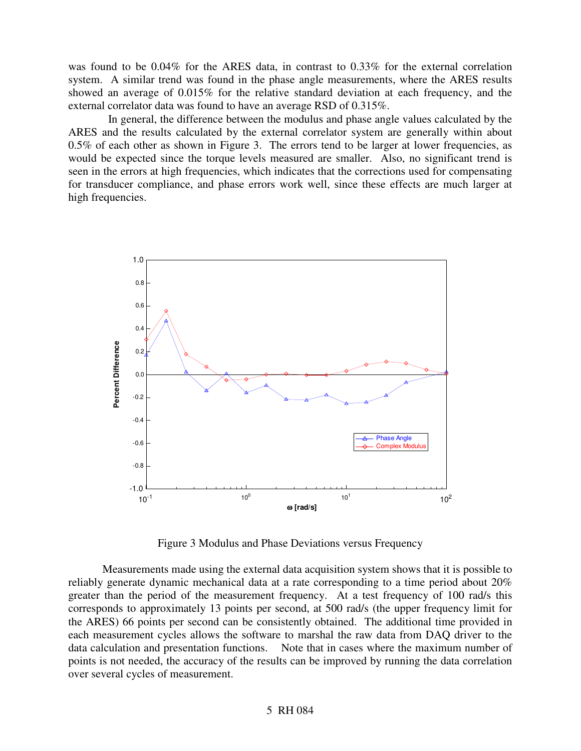was found to be 0.04% for the ARES data, in contrast to 0.33% for the external correlation system. A similar trend was found in the phase angle measurements, where the ARES results showed an average of 0.015% for the relative standard deviation at each frequency, and the external correlator data was found to have an average RSD of 0.315%.

In general, the difference between the modulus and phase angle values calculated by the ARES and the results calculated by the external correlator system are generally within about 0.5% of each other as shown in Figure 3. The errors tend to be larger at lower frequencies, as would be expected since the torque levels measured are smaller. Also, no significant trend is seen in the errors at high frequencies, which indicates that the corrections used for compensating for transducer compliance, and phase errors work well, since these effects are much larger at high frequencies.



Figure 3 Modulus and Phase Deviations versus Frequency

Measurements made using the external data acquisition system shows that it is possible to reliably generate dynamic mechanical data at a rate corresponding to a time period about 20% greater than the period of the measurement frequency. At a test frequency of 100 rad/s this corresponds to approximately 13 points per second, at 500 rad/s (the upper frequency limit for the ARES) 66 points per second can be consistently obtained. The additional time provided in each measurement cycles allows the software to marshal the raw data from DAQ driver to the data calculation and presentation functions. Note that in cases where the maximum number of points is not needed, the accuracy of the results can be improved by running the data correlation over several cycles of measurement.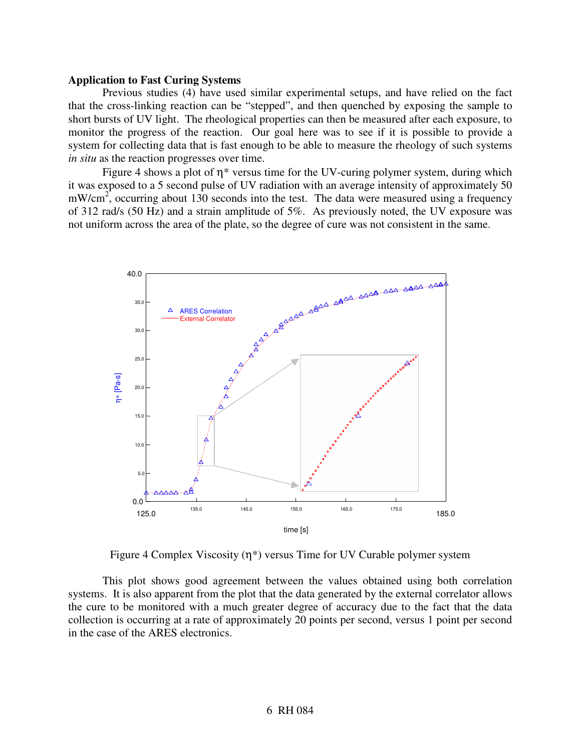#### **Application to Fast Curing Systems**

Previous studies (4) have used similar experimental setups, and have relied on the fact that the cross-linking reaction can be "stepped", and then quenched by exposing the sample to short bursts of UV light. The rheological properties can then be measured after each exposure, to monitor the progress of the reaction. Our goal here was to see if it is possible to provide a system for collecting data that is fast enough to be able to measure the rheology of such systems *in situ* as the reaction progresses over time.

Figure 4 shows a plot of  $\eta^*$  versus time for the UV-curing polymer system, during which it was exposed to a 5 second pulse of UV radiation with an average intensity of approximately 50  $mW/cm<sup>2</sup>$ , occurring about 130 seconds into the test. The data were measured using a frequency of 312 rad/s (50 Hz) and a strain amplitude of 5%. As previously noted, the UV exposure was not uniform across the area of the plate, so the degree of cure was not consistent in the same.



Figure 4 Complex Viscosity  $(\eta^*)$  versus Time for UV Curable polymer system

This plot shows good agreement between the values obtained using both correlation systems. It is also apparent from the plot that the data generated by the external correlator allows the cure to be monitored with a much greater degree of accuracy due to the fact that the data collection is occurring at a rate of approximately 20 points per second, versus 1 point per second in the case of the ARES electronics.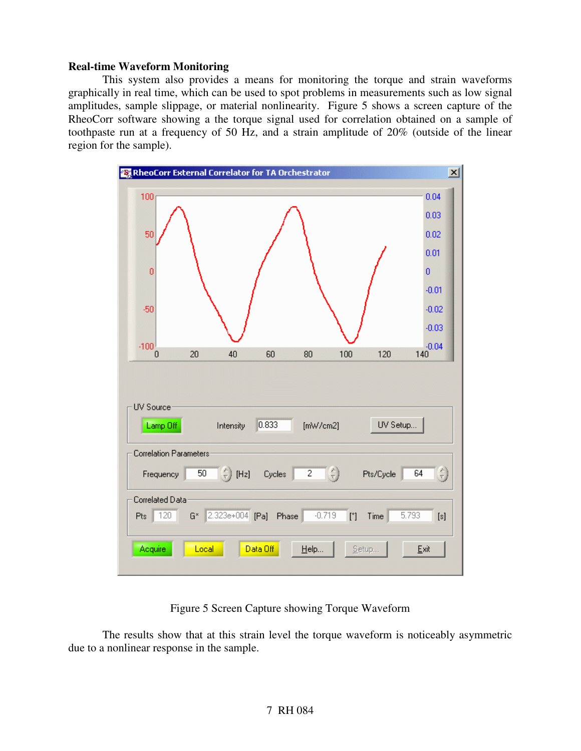#### **Real-time Waveform Monitoring**

This system also provides a means for monitoring the torque and strain waveforms graphically in real time, which can be used to spot problems in measurements such as low signal amplitudes, sample slippage, or material nonlinearity. Figure 5 shows a screen capture of the RheoCorr software showing a the torque signal used for correlation obtained on a sample of toothpaste run at a frequency of 50 Hz, and a strain amplitude of 20% (outside of the linear region for the sample).



Figure 5 Screen Capture showing Torque Waveform

The results show that at this strain level the torque waveform is noticeably asymmetric due to a nonlinear response in the sample.